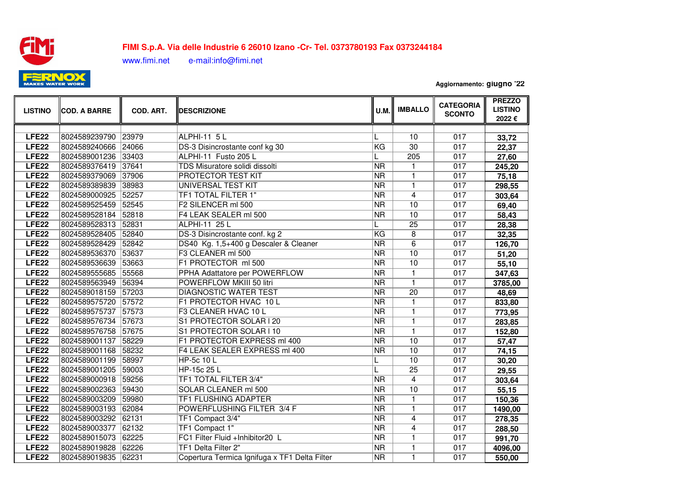

## **FIMI S.p.A. Via delle Industrie 6 26010 Izano -Cr- Tel. 0373780193 Fax 037324418488,000,000,000,000,000,000,000**

www.fimi.net e-mail:info@fimi.net

**Aggiornamento: giugno '22**

| <b>LISTINO</b>    | <b>COD. A BARRE</b> | COD. ART. | <b>DESCRIZIONE</b>                            | U.M.                     | <b>IMBALLO</b>  | <b>CATEGORIA</b><br><b>SCONTO</b> | <b>PREZZO</b><br><b>LISTINO</b><br>2022€ |
|-------------------|---------------------|-----------|-----------------------------------------------|--------------------------|-----------------|-----------------------------------|------------------------------------------|
|                   |                     |           |                                               |                          |                 |                                   |                                          |
| <b>LFE22</b>      | 8024589239790       | 23979     | <b>ALPHI-11 5 L</b>                           | L                        | 10              | 017                               | 33,72                                    |
| LFE <sub>22</sub> | 8024589240666       | 24066     | DS-3 Disincrostante conf kg 30                | KG                       | $\overline{30}$ | 017                               | 22,37                                    |
| LFE <sub>22</sub> | 8024589001236       | 33403     | ALPHI-11 Fusto 205 L                          | L                        | 205             | 017                               | 27,60                                    |
| LFE <sub>22</sub> | 8024589376419       | 37641     | TDS Misuratore solidi dissolti                | $\overline{\mathsf{NR}}$ | 1               | 017                               | 245,20                                   |
| LFE <sub>22</sub> | 8024589379069       | 37906     | PROTECTOR TEST KIT                            | <b>NR</b>                | 1               | 017                               | 75,18                                    |
| LFE <sub>22</sub> | 8024589389839       | 38983     | <b>UNIVERSAL TEST KIT</b>                     | <b>NR</b>                | 1               | 017                               | 298,55                                   |
| LFE <sub>22</sub> | 8024589000925       | 52257     | TF1 TOTAL FILTER 1"                           | NR                       | 4               | 017                               | 303,64                                   |
| LFE <sub>22</sub> | 8024589525459       | 52545     | F2 SILENCER ml 500                            | $\overline{\text{NR}}$   | $\overline{10}$ | 017                               | 69,40                                    |
| LFE <sub>22</sub> | 8024589528184       | 52818     | F4 LEAK SEALER ml 500                         | $\overline{\text{NR}}$   | 10              | 017                               | 58,43                                    |
| LFE <sub>22</sub> | 8024589528313       | 52831     | ALPHI-11 25 L                                 | L                        | $\overline{25}$ | 017                               | 28,38                                    |
| LFE <sub>22</sub> | 8024589528405       | 52840     | DS-3 Disincrostante conf. kg 2                | KG                       | $\overline{8}$  | 017                               | 32,35                                    |
| LFE <sub>22</sub> | 8024589528429       | 52842     | DS40 Kg. 1,5+400 g Descaler & Cleaner         | <b>NR</b>                | $\overline{6}$  | 017                               | 126,70                                   |
| LFE <sub>22</sub> | 8024589536370       | 53637     | F3 CLEANER ml 500                             | <b>NR</b>                | 10              | 017                               | 51,20                                    |
| LFE <sub>22</sub> | 8024589536639       | 53663     | F1 PROTECTOR ml 500                           | <b>NR</b>                | $\overline{10}$ | 017                               | 55,10                                    |
| LFE <sub>22</sub> | 8024589555685       | 55568     | PPHA Adattatore per POWERFLOW                 | <b>NR</b>                | $\mathbf{1}$    | 017                               | 347,63                                   |
| LFE <sub>22</sub> | 8024589563949       | 56394     | POWERFLOW MKIII 50 litri                      | <b>NR</b>                | $\mathbf{1}$    | 017                               | 3785,00                                  |
| LFE <sub>22</sub> | 8024589018159       | 57203     | <b>DIAGNOSTIC WATER TEST</b>                  | $\overline{\text{NR}}$   | $\overline{20}$ | 017                               | 48,69                                    |
| LFE <sub>22</sub> | 8024589575720       | 57572     | F1 PROTECTOR HVAC 10 L                        | $\overline{\text{NR}}$   | $\mathbf{1}$    | 017                               | 833,80                                   |
| LFE <sub>22</sub> | 8024589575737       | 57573     | F3 CLEANER HVAC 10 L                          | <b>NR</b>                | $\overline{1}$  | 017                               | 773,95                                   |
| LFE <sub>22</sub> | 8024589576734       | 57673     | S1 PROTECTOR SOLAR I 20                       | <b>NR</b>                | $\mathbf{1}$    | 017                               | 283,85                                   |
| LFE <sub>22</sub> | 8024589576758       | 57675     | S1 PROTECTOR SOLAR I 10                       | <b>NR</b>                | $\mathbf{1}$    | 017                               | 152,80                                   |
| LFE <sub>22</sub> | 8024589001137       | 58229     | F1 PROTECTOR EXPRESS ml 400                   | <b>NR</b>                | 10              | 017                               | 57,47                                    |
| LFE <sub>22</sub> | 8024589001168       | 58232     | F4 LEAK SEALER EXPRESS ml 400                 | <b>NR</b>                | 10              | 017                               | 74,15                                    |
| LFE <sub>22</sub> | 8024589001199       | 58997     | HP-5c 10 L                                    |                          | $\overline{10}$ | 017                               | 30,20                                    |
| LFE <sub>22</sub> | 8024589001205       | 59003     | HP-15c 25 L                                   |                          | $\overline{25}$ | 017                               | 29,55                                    |
| LFE <sub>22</sub> | 8024589000918       | 59256     | TF1 TOTAL FILTER 3/4"                         | <b>NR</b>                | 4               | 017                               | 303,64                                   |
| LFE <sub>22</sub> | 8024589002363       | 59430     | <b>SOLAR CLEANER ml 500</b>                   | $\overline{\text{NR}}$   | $\overline{10}$ | 017                               | 55,15                                    |
| LFE <sub>22</sub> | 8024589003209       | 59980     | <b>TF1 FLUSHING ADAPTER</b>                   | $\overline{\text{NR}}$   | $\mathbf{1}$    | 017                               | 150,36                                   |
| LFE <sub>22</sub> | 8024589003193       | 62084     | POWERFLUSHING FILTER 3/4 F                    | <b>NR</b>                | 1               | 017                               | 1490,00                                  |
| LFE <sub>22</sub> | 8024589003292       | 62131     | TF1 Compact 3/4"                              | $\overline{\mathsf{NR}}$ | 4               | 017                               | 278,35                                   |
| LFE <sub>22</sub> | 8024589003377       | 62132     | TF1 Compact 1"                                | <b>NR</b>                | 4               | 017                               | 288,50                                   |
| LFE <sub>22</sub> | 8024589015073       | 62225     | FC1 Filter Fluid +Inhibitor20 L               | NR                       | 1               | 017                               | 991,70                                   |
| LFE <sub>22</sub> | 8024589019828       | 62226     | TF1 Delta Filter 2"                           | $\overline{\text{NR}}$   | 1               | 017                               | 4096,00                                  |
| LFE <sub>22</sub> | 8024589019835       | 62231     | Copertura Termica Ignifuga x TF1 Delta Filter | $\overline{\text{NR}}$   | $\mathbf{1}$    | 017                               | 550,00                                   |